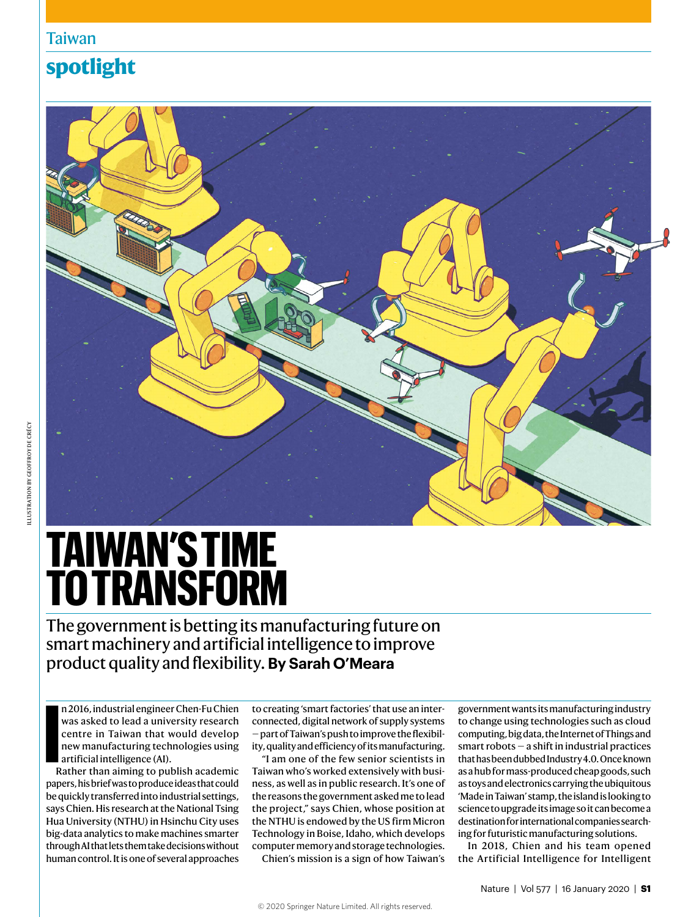# Taiwan

# **spotlight**



# **TAIWAN'S TIME TO TRANSFORM**

The government is betting its manufacturing future on smart machinery and artificial intelligence to improve product quality and flexibility. **By Sarah O'Meara**

**I**<br>R n 2016, industrial engineer Chen-Fu Chien was asked to lead a university research centre in Taiwan that would develop new manufacturing technologies using artificial intelligence (AI).

Rather than aiming to publish academic papers, his brief was to produce ideas that could be quickly transferred into industrial settings, says Chien. His research at the National Tsing Hua University (NTHU) in Hsinchu City uses big-data analytics to make machines smarter through AI that lets them take decisions without human control. It is one of several approaches

to creating 'smart factories' that use an interconnected, digital network of supply systems — part of Taiwan's push to improve the flexibility, quality and efficiency of its manufacturing.

"I am one of the few senior scientists in Taiwan who's worked extensively with business, as well as in public research. It's one of the reasons the government asked me to lead the project," says Chien, whose position at the NTHU is endowed by the US firm Micron Technology in Boise, Idaho, which develops computer memory and storage technologies.

Chien's mission is a sign of how Taiwan's

government wants its manufacturing industry to change using technologies such as cloud computing, big data, the Internet of Things and smart robots — a shift in industrial practices that has been dubbed Industry 4.0. Once known as a hub for mass-produced cheap goods, such as toys and electronics carrying the ubiquitous 'Made in Taiwan' stamp, the island is looking to science to upgrade its image so it can become a destination for international companies searching for futuristic manufacturing solutions.

In 2018, Chien and his team opened the Artificial Intelligence for Intelligent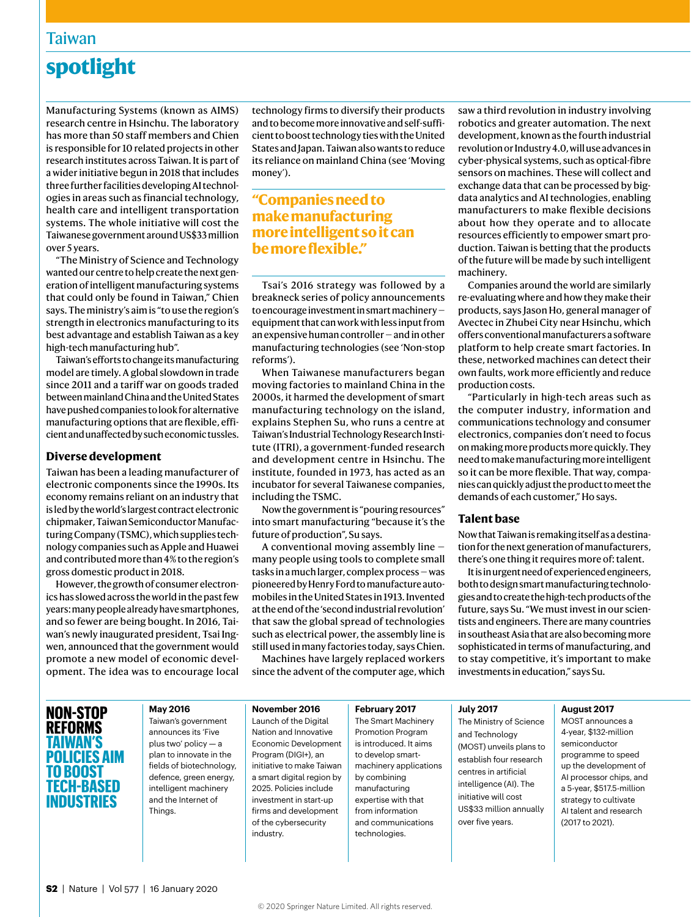## Taiwan

# **spotlight**

Manufacturing Systems (known as AIMS) research centre in Hsinchu. The laboratory has more than 50 staff members and Chien is responsible for 10 related projects in other research institutes across Taiwan. It is part of a wider initiative begun in 2018 that includes three further facilities developing AI technologies in areas such as financial technology, health care and intelligent transportation systems. The whole initiative will cost the Taiwanese government around US\$33 million over 5 years.

"The Ministry of Science and Technology wanted our centre to help create the next generation of intelligent manufacturing systems that could only be found in Taiwan," Chien says. The ministry's aim is "to use the region's strength in electronics manufacturing to its best advantage and establish Taiwan as a key high-tech manufacturing hub".

Taiwan's efforts to change its manufacturing model are timely. A global slowdown in trade since 2011 and a tariff war on goods traded between mainland China and the United States have pushed companies to look for alternative manufacturing options that are flexible, efficient and unaffected by such economic tussles.

#### **Diverse development**

Taiwan has been a leading manufacturer of electronic components since the 1990s. Its economy remains reliant on an industry that is led by the world's largest contract electronic chipmaker, Taiwan Semiconductor Manufacturing Company (TSMC), which supplies technology companies such as Apple and Huawei and contributed more than 4% to the region's gross domestic product in 2018.

However, the growth of consumer electronics has slowed across the world in the past few years: many people already have smartphones, and so fewer are being bought. In 2016, Taiwan's newly inaugurated president, Tsai Ingwen, announced that the government would promote a new model of economic development. The idea was to encourage local technology firms to diversify their products and to become more innovative and self-sufficient to boost technology ties with the United States and Japan. Taiwan also wants to reduce its reliance on mainland China (see 'Moving money').

## **"Companies need to make manufacturing more intelligent so it can be more flexible."**

Tsai's 2016 strategy was followed by a breakneck series of policy announcements to encourage investment in smart machinery equipment that can work with less input from an expensive human controller — and in other manufacturing technologies (see 'Non-stop reforms').

When Taiwanese manufacturers began moving factories to mainland China in the 2000s, it harmed the development of smart manufacturing technology on the island, explains Stephen Su, who runs a centre at Taiwan's Industrial Technology Research Institute (ITRI), a government-funded research and development centre in Hsinchu. The institute, founded in 1973, has acted as an incubator for several Taiwanese companies, including the TSMC.

Now the government is "pouring resources" into smart manufacturing "because it's the future of production", Su says.

A conventional moving assembly line many people using tools to complete small tasks in a much larger, complex process — was pioneered by Henry Ford to manufacture automobiles in the United States in 1913. Invented at the end of the 'second industrial revolution' that saw the global spread of technologies such as electrical power, the assembly line is still used in many factories today, says Chien.

Machines have largely replaced workers since the advent of the computer age, which saw a third revolution in industry involving robotics and greater automation. The next development, known as the fourth industrial revolution or Industry 4.0, will use advances in cyber-physical systems, such as optical-fibre sensors on machines. These will collect and exchange data that can be processed by bigdata analytics and AI technologies, enabling manufacturers to make flexible decisions about how they operate and to allocate resources efficiently to empower smart production. Taiwan is betting that the products of the future will be made by such intelligent machinery.

Companies around the world are similarly re-evaluating where and how they make their products, says Jason Ho, general manager of Avectec in Zhubei City near Hsinchu, which offers conventional manufacturers a software platform to help create smart factories. In these, networked machines can detect their own faults, work more efficiently and reduce production costs.

"Particularly in high-tech areas such as the computer industry, information and communications technology and consumer electronics, companies don't need to focus on making more products more quickly. They need to make manufacturing more intelligent so it can be more flexible. That way, companies can quickly adjust the product to meet the demands of each customer," Ho says.

#### **Talent base**

Now that Taiwan is remaking itself as a destination for the next generation of manufacturers, there's one thing it requires more of: talent.

It is in urgent need of experienced engineers, both to design smart manufacturing technologies and to create the high-tech products of the future, says Su. "We must invest in our scientists and engineers. There are many countries in southeast Asia that are also becoming more sophisticated in terms of manufacturing, and to stay competitive, it's important to make investments in education," says Su.

## **NON-STOP REFORMS TAIWAN'S POLICIES AIM TO BOOST TECH-BASED INDUSTRIES**

**May 2016** Taiwan's government announces its 'Five plus two' policy — a plan to innovate in the fields of biotechnology, defence, green energy, intelligent machinery and the Internet of Things.

**November 2016** Launch of the Digital Nation and Innovative Economic Development Program (DIGI+), an initiative to make Taiwan a smart digital region by 2025. Policies include investment in start-up firms and development of the cybersecurity industry.

**February 2017** The Smart Machinery Promotion Program is introduced. It aims to develop smartmachinery applications by combining manufacturing expertise with that from information and communications technologies.

**July 2017** The Ministry of Science

and Technology (MOST) unveils plans to establish four research centres in artificial intelligence (AI). The initiative will cost US\$33 million annually over five years.

#### **August 2017**

MOST announces a 4-year, \$132-million semiconductor programme to speed up the development of AI processor chips, and a 5-year, \$517.5-million strategy to cultivate AI talent and research (2017 to 2021).